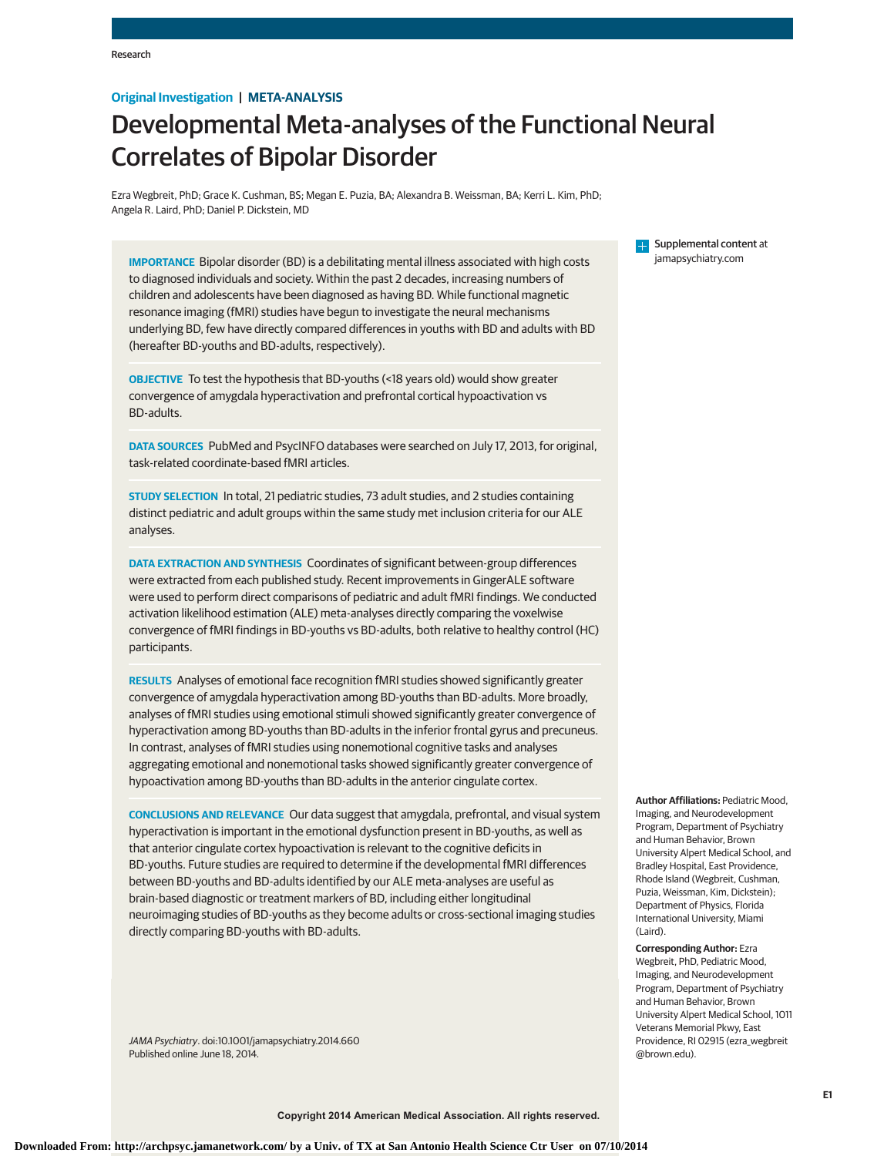# **Original Investigation | META-ANALYSIS**

# Developmental Meta-analyses of the Functional Neural Correlates of Bipolar Disorder

Ezra Wegbreit, PhD; Grace K. Cushman, BS; Megan E. Puzia, BA; Alexandra B. Weissman, BA; Kerri L. Kim, PhD; Angela R. Laird, PhD; Daniel P. Dickstein, MD

**IMPORTANCE** Bipolar disorder (BD) is a debilitating mental illness associated with high costs to diagnosed individuals and society. Within the past 2 decades, increasing numbers of children and adolescents have been diagnosed as having BD. While functional magnetic resonance imaging (fMRI) studies have begun to investigate the neural mechanisms underlying BD, few have directly compared differences in youths with BD and adults with BD (hereafter BD-youths and BD-adults, respectively).

**OBJECTIVE** To test the hypothesis that BD-youths (<18 years old) would show greater convergence of amygdala hyperactivation and prefrontal cortical hypoactivation vs BD-adults.

**DATA SOURCES** PubMed and PsycINFO databases were searched on July 17, 2013, for original, task-related coordinate-based fMRI articles.

**STUDY SELECTION** In total, 21 pediatric studies, 73 adult studies, and 2 studies containing distinct pediatric and adult groups within the same study met inclusion criteria for our ALE analyses.

**DATA EXTRACTION AND SYNTHESIS** Coordinates of significant between-group differences were extracted from each published study. Recent improvements in GingerALE software were used to perform direct comparisons of pediatric and adult fMRI findings. We conducted activation likelihood estimation (ALE) meta-analyses directly comparing the voxelwise convergence of fMRI findings in BD-youths vs BD-adults, both relative to healthy control (HC) participants.

**RESULTS** Analyses of emotional face recognition fMRI studies showed significantly greater convergence of amygdala hyperactivation among BD-youths than BD-adults. More broadly, analyses of fMRI studies using emotional stimuli showed significantly greater convergence of hyperactivation among BD-youths than BD-adults in the inferior frontal gyrus and precuneus. In contrast, analyses of fMRI studies using nonemotional cognitive tasks and analyses aggregating emotional and nonemotional tasks showed significantly greater convergence of hypoactivation among BD-youths than BD-adults in the anterior cingulate cortex.

**CONCLUSIONS AND RELEVANCE** Our data suggest that amygdala, prefrontal, and visual system hyperactivation is important in the emotional dysfunction present in BD-youths, as well as that anterior cingulate cortex hypoactivation is relevant to the cognitive deficits in BD-youths. Future studies are required to determine if the developmental fMRI differences between BD-youths and BD-adults identified by our ALE meta-analyses are useful as brain-based diagnostic or treatment markers of BD, including either longitudinal neuroimaging studies of BD-youths as they become adults or cross-sectional imaging studies directly comparing BD-youths with BD-adults.

JAMA Psychiatry. doi:10.1001/jamapsychiatry.2014.660 Published online June 18, 2014.

**Examplemental content at** jamapsychiatry.com

**Author Affiliations:** Pediatric Mood, Imaging, and Neurodevelopment Program, Department of Psychiatry and Human Behavior, Brown University Alpert Medical School, and Bradley Hospital, East Providence, Rhode Island (Wegbreit, Cushman, Puzia, Weissman, Kim, Dickstein); Department of Physics, Florida International University, Miami (Laird).

**Corresponding Author:** Ezra Wegbreit, PhD, Pediatric Mood, Imaging, and Neurodevelopment Program, Department of Psychiatry and Human Behavior, Brown University Alpert Medical School, 1011 Veterans Memorial Pkwy, East Providence, RI 02915 (ezra\_wegbreit @brown.edu).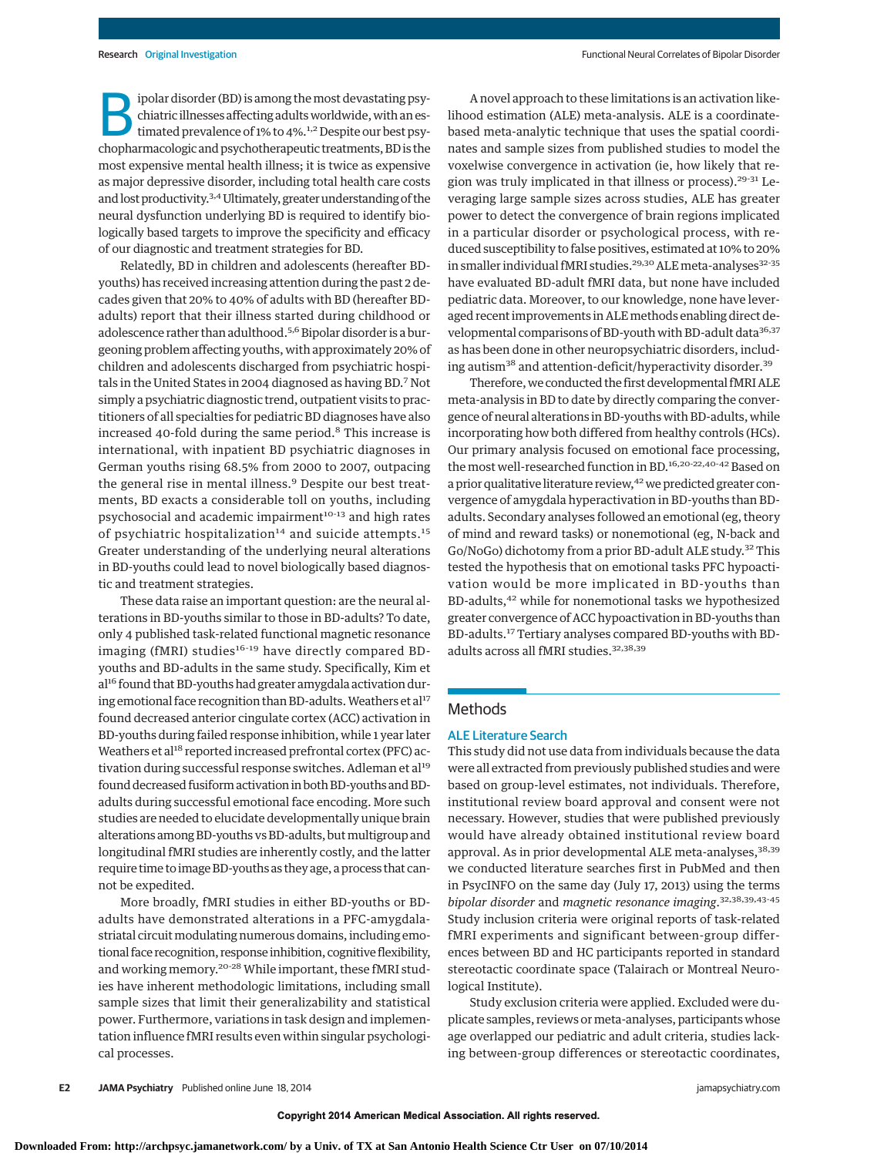ipolar disorder (BD) is among the most devastating psy-<br>thiatric illnesses affecting adults worldwide, with an es-<br>timated prevalence of 1% to 4%.<sup>1,2</sup> Despite our best psy-<br>chonharmacologic and psychotherapeutic treatment chiatric illnesses affecting adults worldwide, with an eschopharmacologic and psychotherapeutic treatments, BD is the most expensive mental health illness; it is twice as expensive as major depressive disorder, including total health care costs and lost productivity.<sup>3,4</sup> Ultimately, greater understanding of the neural dysfunction underlying BD is required to identify biologically based targets to improve the specificity and efficacy of our diagnostic and treatment strategies for BD.

Relatedly, BD in children and adolescents (hereafter BDyouths) has received increasing attention during the past 2 decades given that 20% to 40% of adults with BD (hereafter BDadults) report that their illness started during childhood or adolescence rather than adulthood.<sup>5,6</sup> Bipolar disorder is a burgeoning problem affecting youths, with approximately 20% of children and adolescents discharged from psychiatric hospitals in the United States in 2004 diagnosed as having BD.7 Not simply a psychiatric diagnostic trend, outpatient visits to practitioners of all specialties for pediatric BD diagnoses have also increased 40-fold during the same period.<sup>8</sup> This increase is international, with inpatient BD psychiatric diagnoses in German youths rising 68.5% from 2000 to 2007, outpacing the general rise in mental illness.<sup>9</sup> Despite our best treatments, BD exacts a considerable toll on youths, including psychosocial and academic impairment<sup>10-13</sup> and high rates of psychiatric hospitalization $14$  and suicide attempts.<sup>15</sup> Greater understanding of the underlying neural alterations in BD-youths could lead to novel biologically based diagnostic and treatment strategies.

These data raise an important question: are the neural alterations in BD-youths similar to those in BD-adults? To date, only 4 published task-related functional magnetic resonance imaging (fMRI) studies<sup>16-19</sup> have directly compared BDyouths and BD-adults in the same study. Specifically, Kim et al<sup>16</sup> found that BD-youths had greater amygdala activation during emotional face recognition than BD-adults. Weathers et al<sup>17</sup> found decreased anterior cingulate cortex (ACC) activation in BD-youths during failed response inhibition, while 1 year later Weathers et al<sup>18</sup> reported increased prefrontal cortex (PFC) activation during successful response switches. Adleman et al<sup>19</sup> found decreased fusiform activation in both BD-youths and BDadults during successful emotional face encoding. More such studies are needed to elucidate developmentally unique brain alterations among BD-youths vs BD-adults, but multigroup and longitudinal fMRI studies are inherently costly, and the latter require time to image BD-youths as they age, a process that cannot be expedited.

More broadly, fMRI studies in either BD-youths or BDadults have demonstrated alterations in a PFC-amygdalastriatal circuit modulating numerous domains, including emotional face recognition, response inhibition, cognitive flexibility, and working memory.<sup>20-28</sup> While important, these fMRI studies have inherent methodologic limitations, including small sample sizes that limit their generalizability and statistical power. Furthermore, variations in task design and implementation influence fMRI results even within singular psychological processes.

A novel approach to these limitations is an activation likelihood estimation (ALE) meta-analysis. ALE is a coordinatebased meta-analytic technique that uses the spatial coordinates and sample sizes from published studies to model the voxelwise convergence in activation (ie, how likely that region was truly implicated in that illness or process).<sup>29-31</sup> Leveraging large sample sizes across studies, ALE has greater power to detect the convergence of brain regions implicated in a particular disorder or psychological process, with reduced susceptibility to false positives, estimated at 10% to 20% in smaller individual fMRI studies.<sup>29,30</sup> ALE meta-analyses<sup>32-35</sup> have evaluated BD-adult fMRI data, but none have included pediatric data. Moreover, to our knowledge, none have leveraged recent improvements in ALEmethods enabling direct developmental comparisons of BD-youth with BD-adult data<sup>36,37</sup> as has been done in other neuropsychiatric disorders, including autism38 and attention-deficit/hyperactivity disorder.39

Therefore,we conducted the first developmental fMRI ALE meta-analysis in BD to date by directly comparing the convergence of neural alterations in BD-youths with BD-adults, while incorporating how both differed from healthy controls (HCs). Our primary analysis focused on emotional face processing, the most well-researched function in BD.<sup>16,20-22,40-42</sup> Based on a prior qualitative literature review, <sup>42</sup> we predicted greater convergence of amygdala hyperactivation in BD-youths than BDadults. Secondary analyses followed an emotional (eg, theory of mind and reward tasks) or nonemotional (eg, N-back and Go/NoGo) dichotomy from a prior BD-adult ALE study.<sup>32</sup> This tested the hypothesis that on emotional tasks PFC hypoactivation would be more implicated in BD-youths than BD-adults,<sup>42</sup> while for nonemotional tasks we hypothesized greater convergence of ACC hypoactivation in BD-youths than BD-adults.<sup>17</sup> Tertiary analyses compared BD-youths with BDadults across all fMRI studies.<sup>32,38,39</sup>

# Methods

### ALE Literature Search

This study did not use data from individuals because the data were all extracted from previously published studies and were based on group-level estimates, not individuals. Therefore, institutional review board approval and consent were not necessary. However, studies that were published previously would have already obtained institutional review board approval. As in prior developmental ALE meta-analyses, 38,39 we conducted literature searches first in PubMed and then in PsycINFO on the same day (July 17, 2013) using the terms *bipolar disorder* and *magnetic resonance imaging*. 32,38,39,43-45 Study inclusion criteria were original reports of task-related fMRI experiments and significant between-group differences between BD and HC participants reported in standard stereotactic coordinate space (Talairach or Montreal Neurological Institute).

Study exclusion criteria were applied. Excluded were duplicate samples, reviews or meta-analyses, participants whose age overlapped our pediatric and adult criteria, studies lacking between-group differences or stereotactic coordinates,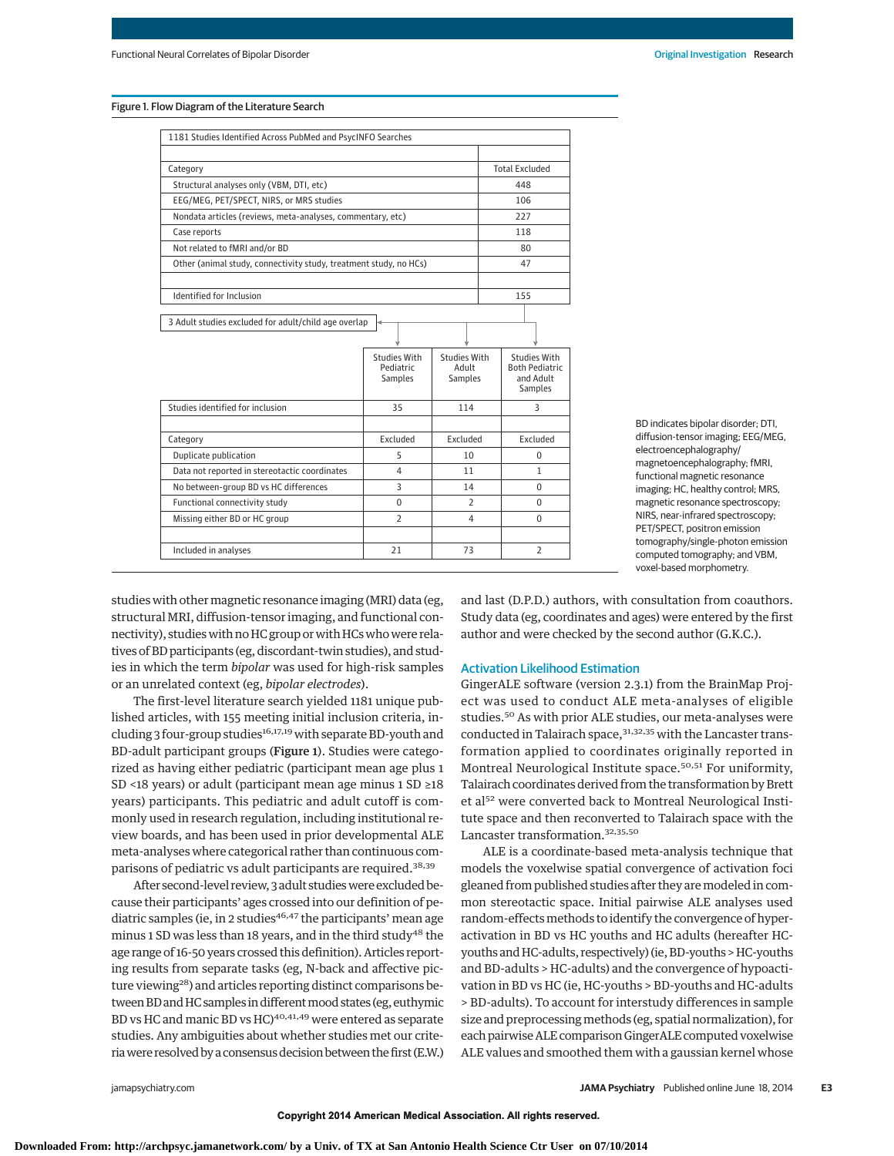### Figure 1. Flow Diagram of the Literature Search

| 1181 Studies Identified Across PubMed and PsycINFO Searches       |                                             |                                         |  |                                                                      |  |
|-------------------------------------------------------------------|---------------------------------------------|-----------------------------------------|--|----------------------------------------------------------------------|--|
| Category                                                          | <b>Total Excluded</b>                       |                                         |  |                                                                      |  |
| Structural analyses only (VBM, DTI, etc)                          |                                             | 448                                     |  |                                                                      |  |
| EEG/MEG, PET/SPECT, NIRS, or MRS studies                          | 106                                         |                                         |  |                                                                      |  |
| Nondata articles (reviews, meta-analyses, commentary, etc)        | 227                                         |                                         |  |                                                                      |  |
| Case reports                                                      | 118                                         |                                         |  |                                                                      |  |
| Not related to fMRI and/or BD                                     | 80                                          |                                         |  |                                                                      |  |
| Other (animal study, connectivity study, treatment study, no HCs) | 47                                          |                                         |  |                                                                      |  |
|                                                                   |                                             |                                         |  |                                                                      |  |
| Identified for Inclusion                                          |                                             | 155                                     |  |                                                                      |  |
| 3 Adult studies excluded for adult/child age overlap              |                                             |                                         |  |                                                                      |  |
|                                                                   | <b>Studies With</b><br>Pediatric<br>Samples | <b>Studies With</b><br>Adult<br>Samples |  | <b>Studies With</b><br><b>Both Pediatric</b><br>and Adult<br>Samples |  |
| Studies identified for inclusion                                  | 35                                          | 114                                     |  | 3                                                                    |  |
|                                                                   |                                             |                                         |  |                                                                      |  |
| Category                                                          | Excluded                                    | Excluded                                |  | Excluded                                                             |  |
| Duplicate publication                                             | 5                                           | 10                                      |  | 0                                                                    |  |
| Data not reported in stereotactic coordinates                     | 4                                           | 11                                      |  | 1                                                                    |  |
| No between-group BD vs HC differences                             | 3                                           | 14                                      |  | 0                                                                    |  |
| Functional connectivity study                                     | $\Omega$                                    | $\mathcal{L}$                           |  | $\Omega$                                                             |  |
| Missing either BD or HC group                                     | $\overline{2}$                              | 4                                       |  | <sup>0</sup>                                                         |  |
|                                                                   |                                             |                                         |  |                                                                      |  |
| Included in analyses                                              | 21                                          | 73                                      |  | $\overline{2}$                                                       |  |

BD indicates bipolar disorder; DTI, diffusion-tensor imaging; EEG/MEG, electroencephalography/ magnetoencephalography; fMRI, functional magnetic resonance imaging; HC, healthy control; MRS, magnetic resonance spectroscopy; NIRS, near-infrared spectroscopy; PET/SPECT, positron emission tomography/single-photon emission computed tomography; and VBM, voxel-based morphometry.

studies with other magnetic resonance imaging (MRI) data (eg, structural MRI, diffusion-tensor imaging, and functional connectivity), studies with no HC group or with HCs who were relatives of BD participants (eg, discordant-twin studies), and studies in which the term *bipolar* was used for high-risk samples or an unrelated context (eg, *bipolar electrodes*).

The first-level literature search yielded 1181 unique published articles, with 155 meeting initial inclusion criteria, including 3 four-group studies $16,17,19$  with separate BD-youth and BD-adult participant groups (Figure 1). Studies were categorized as having either pediatric (participant mean age plus 1 SD <18 years) or adult (participant mean age minus 1 SD ≥18 years) participants. This pediatric and adult cutoff is commonly used in research regulation, including institutional review boards, and has been used in prior developmental ALE meta-analyses where categorical rather than continuous comparisons of pediatric vs adult participants are required.38,39

After second-level review, 3 adult studies were excluded because their participants' ages crossed into our definition of pediatric samples (ie, in 2 studies<sup>46,47</sup> the participants' mean age minus 1 SD was less than 18 years, and in the third study<sup>48</sup> the age range of 16-50 years crossed this definition). Articles reporting results from separate tasks (eg, N-back and affective picture viewing<sup>28</sup>) and articles reporting distinct comparisons between BD and HC samples in different mood states (eg, euthymic BD vs HC and manic BD vs HC)<sup>40,41,49</sup> were entered as separate studies. Any ambiguities about whether studies met our criteriawere resolved by aconsensusdecision between the first (E.W.) and last (D.P.D.) authors, with consultation from coauthors. Study data (eg, coordinates and ages) were entered by the first author and were checked by the second author (G.K.C.).

#### Activation Likelihood Estimation

GingerALE software (version 2.3.1) from the BrainMap Project was used to conduct ALE meta-analyses of eligible studies.50 As with prior ALE studies, our meta-analyses were conducted in Talairach space,<sup>31,32,35</sup> with the Lancaster transformation applied to coordinates originally reported in Montreal Neurological Institute space.<sup>50,51</sup> For uniformity, Talairach coordinates derived from the transformation by Brett et al<sup>52</sup> were converted back to Montreal Neurological Institute space and then reconverted to Talairach space with the Lancaster transformation.32,35,50

ALE is a coordinate-based meta-analysis technique that models the voxelwise spatial convergence of activation foci gleaned from published studies after they aremodeled in common stereotactic space. Initial pairwise ALE analyses used random-effects methods to identify the convergence of hyperactivation in BD vs HC youths and HC adults (hereafter HCyouths and HC-adults, respectively) (ie, BD-youths > HC-youths and BD-adults > HC-adults) and the convergence of hypoactivation in BD vs HC (ie, HC-youths > BD-youths and HC-adults > BD-adults). To account for interstudy differences in sample size and preprocessingmethods (eg, spatial normalization), for each pairwise ALE comparison GingerALE computed voxelwise ALE values and smoothed them with a gaussian kernel whose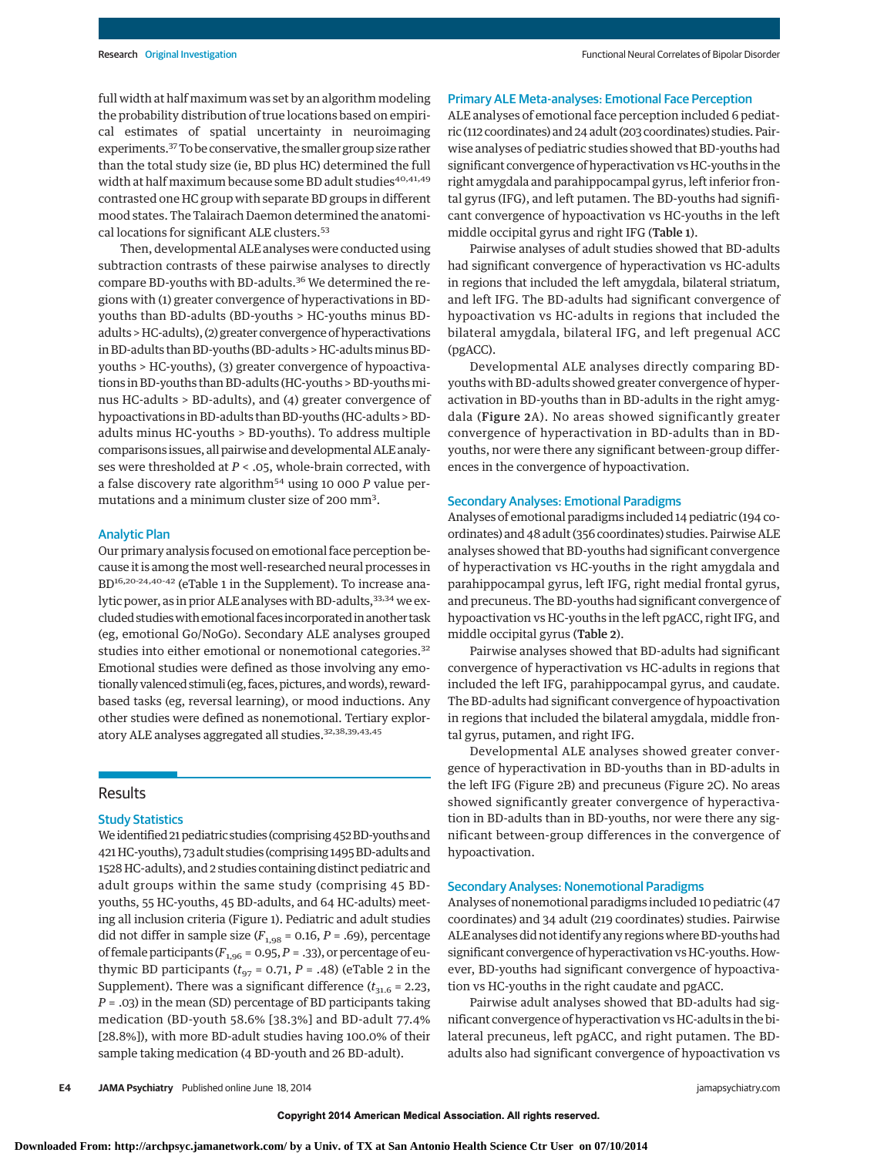full width at half maximum was set by an algorithm modeling the probability distribution of true locations based on empirical estimates of spatial uncertainty in neuroimaging experiments.<sup>37</sup> To be conservative, the smaller group size rather than the total study size (ie, BD plus HC) determined the full width at half maximum because some BD adult studies<sup>40,41,49</sup> contrasted one HC group with separate BD groups in different mood states. The Talairach Daemon determined the anatomical locations for significant ALE clusters.53

Then, developmental ALE analyses were conducted using subtraction contrasts of these pairwise analyses to directly compare BD-youths with BD-adults.36 We determined the regions with (1) greater convergence of hyperactivations in BDyouths than BD-adults (BD-youths > HC-youths minus BDadults > HC-adults), (2) greater convergence of hyperactivations in BD-adults than BD-youths (BD-adults > HC-adultsminus BDyouths > HC-youths), (3) greater convergence of hypoactivations in BD-youths than BD-adults (HC-youths > BD-youthsminus HC-adults > BD-adults), and (4) greater convergence of hypoactivations in BD-adults than BD-youths (HC-adults > BDadults minus HC-youths > BD-youths). To address multiple comparisons issues, all pairwise and developmental ALE analyses were thresholded at *P* < .05, whole-brain corrected, with a false discovery rate algorithm<sup>54</sup> using 10 000 *P* value permutations and a minimum cluster size of 200 mm<sup>3</sup>.

#### Analytic Plan

Our primary analysis focused on emotional face perception because it is among the most well-researched neural processes in BD16,20-24,40-42 (eTable 1 in the Supplement). To increase analytic power, as in prior ALE analyses with BD-adults, 33,34 we excluded studies with emotional faces incorporated in another task (eg, emotional Go/NoGo). Secondary ALE analyses grouped studies into either emotional or nonemotional categories.<sup>32</sup> Emotional studies were defined as those involving any emotionally valenced stimuli (eg, faces, pictures, and words), rewardbased tasks (eg, reversal learning), or mood inductions. Any other studies were defined as nonemotional. Tertiary exploratory ALE analyses aggregated all studies.<sup>32,38,39,43,45</sup>

# **Results**

### Study Statistics

We identified 21 pediatric studies (comprising 452 BD-youths and 421HC-youths), 73 adult studies (comprising 1495BD-adults and 1528 HC-adults), and 2 studies containing distinct pediatric and adult groups within the same study (comprising 45 BDyouths, 55 HC-youths, 45 BD-adults, and 64 HC-adults) meeting all inclusion criteria (Figure 1). Pediatric and adult studies did not differ in sample size  $(F_{1,98} = 0.16, P = .69)$ , percentage of female participants ( $F_{1,96}$  = 0.95,  $P$  = .33), or percentage of euthymic BD participants ( $t_{97}$  = 0.71,  $P$  = .48) (eTable 2 in the Supplement). There was a significant difference  $(t_{31.6} = 2.23,$ *P* = .03) in the mean (SD) percentage of BD participants taking medication (BD-youth 58.6% [38.3%] and BD-adult 77.4% [28.8%]), with more BD-adult studies having 100.0% of their sample taking medication (4 BD-youth and 26 BD-adult).

#### Primary ALE Meta-analyses: Emotional Face Perception

ALE analyses of emotional face perception included 6 pediatric (112 coordinates) and 24 adult (203 coordinates) studies. Pairwise analyses of pediatric studies showed that BD-youths had significant convergence of hyperactivation vs HC-youths in the right amygdala and parahippocampal gyrus, left inferior frontal gyrus (IFG), and left putamen. The BD-youths had significant convergence of hypoactivation vs HC-youths in the left middle occipital gyrus and right IFG (Table 1).

Pairwise analyses of adult studies showed that BD-adults had significant convergence of hyperactivation vs HC-adults in regions that included the left amygdala, bilateral striatum, and left IFG. The BD-adults had significant convergence of hypoactivation vs HC-adults in regions that included the bilateral amygdala, bilateral IFG, and left pregenual ACC (pgACC).

Developmental ALE analyses directly comparing BDyouths with BD-adults showed greater convergence of hyperactivation in BD-youths than in BD-adults in the right amygdala (Figure 2A). No areas showed significantly greater convergence of hyperactivation in BD-adults than in BDyouths, nor were there any significant between-group differences in the convergence of hypoactivation.

# Secondary Analyses: Emotional Paradigms

Analyses of emotional paradigms included 14 pediatric (194 coordinates) and 48 adult (356 coordinates) studies. Pairwise ALE analyses showed that BD-youths had significant convergence of hyperactivation vs HC-youths in the right amygdala and parahippocampal gyrus, left IFG, right medial frontal gyrus, and precuneus. The BD-youths had significant convergence of hypoactivation vs HC-youths in the left pgACC, right IFG, and middle occipital gyrus (Table 2).

Pairwise analyses showed that BD-adults had significant convergence of hyperactivation vs HC-adults in regions that included the left IFG, parahippocampal gyrus, and caudate. The BD-adults had significant convergence of hypoactivation in regions that included the bilateral amygdala, middle frontal gyrus, putamen, and right IFG.

Developmental ALE analyses showed greater convergence of hyperactivation in BD-youths than in BD-adults in the left IFG (Figure 2B) and precuneus (Figure 2C). No areas showed significantly greater convergence of hyperactivation in BD-adults than in BD-youths, nor were there any significant between-group differences in the convergence of hypoactivation.

# Secondary Analyses: Nonemotional Paradigms

Analyses of nonemotional paradigms included 10 pediatric (47 coordinates) and 34 adult (219 coordinates) studies. Pairwise ALE analyses did not identify any regionswhere BD-youths had significant convergence of hyperactivation vs HC-youths. However, BD-youths had significant convergence of hypoactivation vs HC-youths in the right caudate and pgACC.

Pairwise adult analyses showed that BD-adults had significant convergence of hyperactivation vs HC-adults in the bilateral precuneus, left pgACC, and right putamen. The BDadults also had significant convergence of hypoactivation vs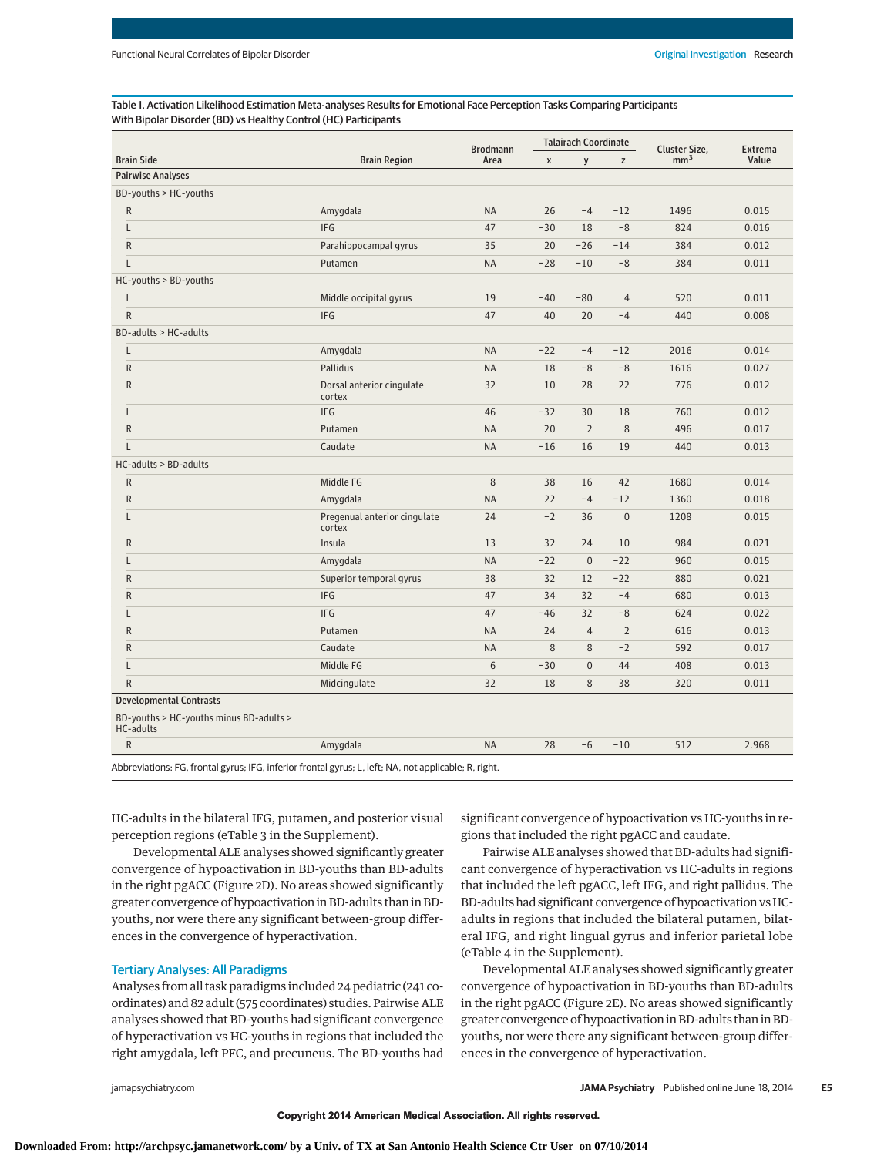Table 1. Activation Likelihood Estimation Meta-analyses Results for Emotional Face Perception Tasks Comparing Participants With Bipolar Disorder (BD) vs Healthy Control (HC) Participants

|                                                                                                       |                                        | <b>Brodmann</b> | <b>Talairach Coordinate</b> |                |                | Cluster Size,   | <b>Extrema</b> |  |
|-------------------------------------------------------------------------------------------------------|----------------------------------------|-----------------|-----------------------------|----------------|----------------|-----------------|----------------|--|
| <b>Brain Side</b>                                                                                     | <b>Brain Region</b>                    | Area            | X                           | y              | z              | mm <sup>3</sup> | Value          |  |
| <b>Pairwise Analyses</b>                                                                              |                                        |                 |                             |                |                |                 |                |  |
| BD-youths > HC-youths                                                                                 |                                        |                 |                             |                |                |                 |                |  |
| R                                                                                                     | Amygdala                               | <b>NA</b>       | 26                          | $-4$           | $-12$          | 1496            | 0.015          |  |
| L                                                                                                     | <b>IFG</b>                             | 47              | $-30$                       | 18             | $-8$           | 824             | 0.016          |  |
| R                                                                                                     | Parahippocampal gyrus                  | 35              | 20                          | $-26$          | $-14$          | 384             | 0.012          |  |
| L                                                                                                     | Putamen                                | <b>NA</b>       | $-28$                       | $-10$          | $-8$           | 384             | 0.011          |  |
| HC-youths > BD-youths                                                                                 |                                        |                 |                             |                |                |                 |                |  |
| L                                                                                                     | Middle occipital gyrus                 | 19              | $-40$                       | $-80$          | $\overline{4}$ | 520             | 0.011          |  |
| R                                                                                                     | <b>IFG</b>                             | 47              | 40                          | 20             | $-4$           | 440             | 0.008          |  |
| BD-adults > HC-adults                                                                                 |                                        |                 |                             |                |                |                 |                |  |
| L                                                                                                     | Amygdala                               | <b>NA</b>       | $-22$                       | $-4$           | $-12$          | 2016            | 0.014          |  |
| ${\sf R}$                                                                                             | Pallidus                               | <b>NA</b>       | 18                          | $-8$           | $-8$           | 1616            | 0.027          |  |
| R.                                                                                                    | Dorsal anterior cingulate<br>cortex    | 32              | 10                          | 28             | 22             | 776             | 0.012          |  |
| L                                                                                                     | <b>IFG</b>                             | 46              | $-32$                       | 30             | 18             | 760             | 0.012          |  |
| R                                                                                                     | Putamen                                | <b>NA</b>       | 20                          | $\overline{2}$ | 8              | 496             | 0.017          |  |
| L                                                                                                     | Caudate                                | <b>NA</b>       | $-16$                       | 16             | 19             | 440             | 0.013          |  |
| HC-adults > BD-adults                                                                                 |                                        |                 |                             |                |                |                 |                |  |
| R                                                                                                     | Middle FG                              | 8               | 38                          | 16             | 42             | 1680            | 0.014          |  |
| R                                                                                                     | Amygdala                               | <b>NA</b>       | 22                          | $-4$           | $-12$          | 1360            | 0.018          |  |
| L                                                                                                     | Pregenual anterior cingulate<br>cortex | 24              | $-2$                        | 36             | $\bf 0$        | 1208            | 0.015          |  |
| R                                                                                                     | Insula                                 | 13              | 32                          | 24             | 10             | 984             | 0.021          |  |
| L                                                                                                     | Amygdala                               | <b>NA</b>       | $-22$                       | $\overline{0}$ | $-22$          | 960             | 0.015          |  |
| R                                                                                                     | Superior temporal gyrus                | 38              | 32                          | 12             | $-22$          | 880             | 0.021          |  |
| R                                                                                                     | <b>IFG</b>                             | 47              | 34                          | 32             | $-4$           | 680             | 0.013          |  |
| L                                                                                                     | <b>IFG</b>                             | 47              | $-46$                       | 32             | $-8$           | 624             | 0.022          |  |
| R.                                                                                                    | Putamen                                | <b>NA</b>       | 24                          | $\overline{4}$ | $\overline{2}$ | 616             | 0.013          |  |
| R                                                                                                     | Caudate                                | <b>NA</b>       | $\,8\,$                     | 8              | $-2$           | 592             | 0.017          |  |
| L                                                                                                     | Middle FG                              | 6               | $-30$                       | $\overline{0}$ | 44             | 408             | 0.013          |  |
| R                                                                                                     | Midcingulate                           | 32              | 18                          | 8              | 38             | 320             | 0.011          |  |
| <b>Developmental Contrasts</b>                                                                        |                                        |                 |                             |                |                |                 |                |  |
| BD-youths > HC-youths minus BD-adults ><br>HC-adults                                                  |                                        |                 |                             |                |                |                 |                |  |
| R                                                                                                     | Amygdala                               | <b>NA</b>       | 28                          | $-6$           | $-10$          | 512             | 2.968          |  |
| Abbreviations: FG, frontal gyrus; IFG, inferior frontal gyrus; L, left; NA, not applicable; R, right. |                                        |                 |                             |                |                |                 |                |  |

HC-adults in the bilateral IFG, putamen, and posterior visual perception regions (eTable 3 in the Supplement).

Developmental ALE analyses showed significantly greater convergence of hypoactivation in BD-youths than BD-adults in the right pgACC (Figure 2D). No areas showed significantly greater convergence of hypoactivation in BD-adults than in BDyouths, nor were there any significant between-group differences in the convergence of hyperactivation.

# Tertiary Analyses: All Paradigms

Analyses from all task paradigms included 24 pediatric (241 coordinates) and 82 adult (575 coordinates) studies. Pairwise ALE analyses showed that BD-youths had significant convergence of hyperactivation vs HC-youths in regions that included the right amygdala, left PFC, and precuneus. The BD-youths had

significant convergence of hypoactivation vs HC-youths in regions that included the right pgACC and caudate.

Pairwise ALE analyses showed that BD-adults had significant convergence of hyperactivation vs HC-adults in regions that included the left pgACC, left IFG, and right pallidus. The BD-adults had significant convergence of hypoactivation vs HCadults in regions that included the bilateral putamen, bilateral IFG, and right lingual gyrus and inferior parietal lobe (eTable 4 in the Supplement).

Developmental ALE analyses showed significantly greater convergence of hypoactivation in BD-youths than BD-adults in the right pgACC (Figure 2E). No areas showed significantly greater convergence of hypoactivation in BD-adults than in BDyouths, nor were there any significant between-group differences in the convergence of hyperactivation.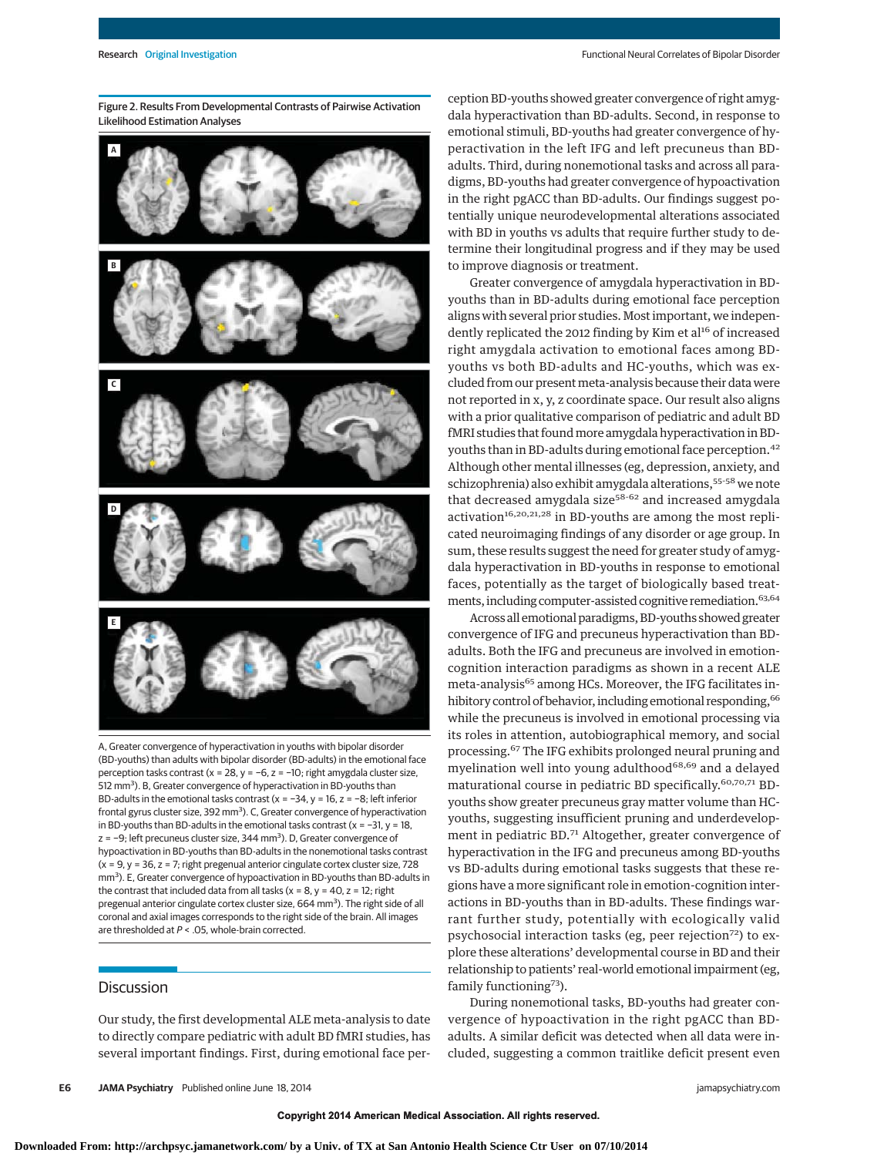



A, Greater convergence of hyperactivation in youths with bipolar disorder (BD-youths) than adults with bipolar disorder (BD-adults) in the emotional face perception tasks contrast (x = 28, y = −6, z = −10; right amygdala cluster size, 512 mm<sup>3</sup>). B, Greater convergence of hyperactivation in BD-youths than BD-adults in the emotional tasks contrast (x = −34, y = 16, z = −8; left inferior frontal gyrus cluster size, 392 mm<sup>3</sup>). C, Greater convergence of hyperactivation in BD-youths than BD-adults in the emotional tasks contrast (x = −31, y = 18, z = −9; left precuneus cluster size, 344 mm<sup>3</sup>). D, Greater convergence of hypoactivation in BD-youths than BD-adults in the nonemotional tasks contrast  $(x = 9, y = 36, z = 7$ ; right pregenual anterior cingulate cortex cluster size, 728 mm<sup>3</sup>). E, Greater convergence of hypoactivation in BD-youths than BD-adults in the contrast that included data from all tasks  $(x = 8, y = 40, z = 12;$  right pregenual anterior cingulate cortex cluster size, 664 mm<sup>3</sup>). The right side of all coronal and axial images corresponds to the right side of the brain. All images are thresholded at  $P < .05$ , whole-brain corrected.

# **Discussion**

Our study, the first developmental ALE meta-analysis to date to directly compare pediatric with adult BD fMRI studies, has several important findings. First, during emotional face perception BD-youths showed greater convergence of right amygdala hyperactivation than BD-adults. Second, in response to emotional stimuli, BD-youths had greater convergence of hyperactivation in the left IFG and left precuneus than BDadults. Third, during nonemotional tasks and across all paradigms, BD-youths had greater convergence of hypoactivation in the right pgACC than BD-adults. Our findings suggest potentially unique neurodevelopmental alterations associated with BD in youths vs adults that require further study to determine their longitudinal progress and if they may be used to improve diagnosis or treatment.

Greater convergence of amygdala hyperactivation in BDyouths than in BD-adults during emotional face perception aligns with several prior studies. Most important, we independently replicated the 2012 finding by Kim et al<sup>16</sup> of increased right amygdala activation to emotional faces among BDyouths vs both BD-adults and HC-youths, which was excluded from our present meta-analysis because their data were not reported in x, y, z coordinate space. Our result also aligns with a prior qualitative comparison of pediatric and adult BD fMRI studies that found more amygdala hyperactivation in BDyouths than in BD-adults during emotional face perception.42 Although other mental illnesses (eg, depression, anxiety, and schizophrenia) also exhibit amygdala alterations, 55-58 we note that decreased amygdala size $58-62$  and increased amygdala activation<sup>16,20,21,28</sup> in BD-youths are among the most replicated neuroimaging findings of any disorder or age group. In sum, these results suggest the need for greater study of amygdala hyperactivation in BD-youths in response to emotional faces, potentially as the target of biologically based treatments, including computer-assisted cognitive remediation.<sup>63,64</sup>

Across all emotional paradigms, BD-youths showed greater convergence of IFG and precuneus hyperactivation than BDadults. Both the IFG and precuneus are involved in emotioncognition interaction paradigms as shown in a recent ALE meta-analysis<sup>65</sup> among HCs. Moreover, the IFG facilitates inhibitory control of behavior, including emotional responding, 66 while the precuneus is involved in emotional processing via its roles in attention, autobiographical memory, and social processing.67 The IFG exhibits prolonged neural pruning and myelination well into young adulthood<sup>68,69</sup> and a delayed maturational course in pediatric BD specifically.<sup>60,70,71</sup> BDyouths show greater precuneus gray matter volume than HCyouths, suggesting insufficient pruning and underdevelopment in pediatric BD.<sup>71</sup> Altogether, greater convergence of hyperactivation in the IFG and precuneus among BD-youths vs BD-adults during emotional tasks suggests that these regions have a more significant role in emotion-cognition interactions in BD-youths than in BD-adults. These findings warrant further study, potentially with ecologically valid psychosocial interaction tasks (eg, peer rejection<sup>72</sup>) to explore these alterations' developmental course in BD and their relationship to patients' real-world emotional impairment (eg, family functioning<sup>73</sup>).

During nonemotional tasks, BD-youths had greater convergence of hypoactivation in the right pgACC than BDadults. A similar deficit was detected when all data were included, suggesting a common traitlike deficit present even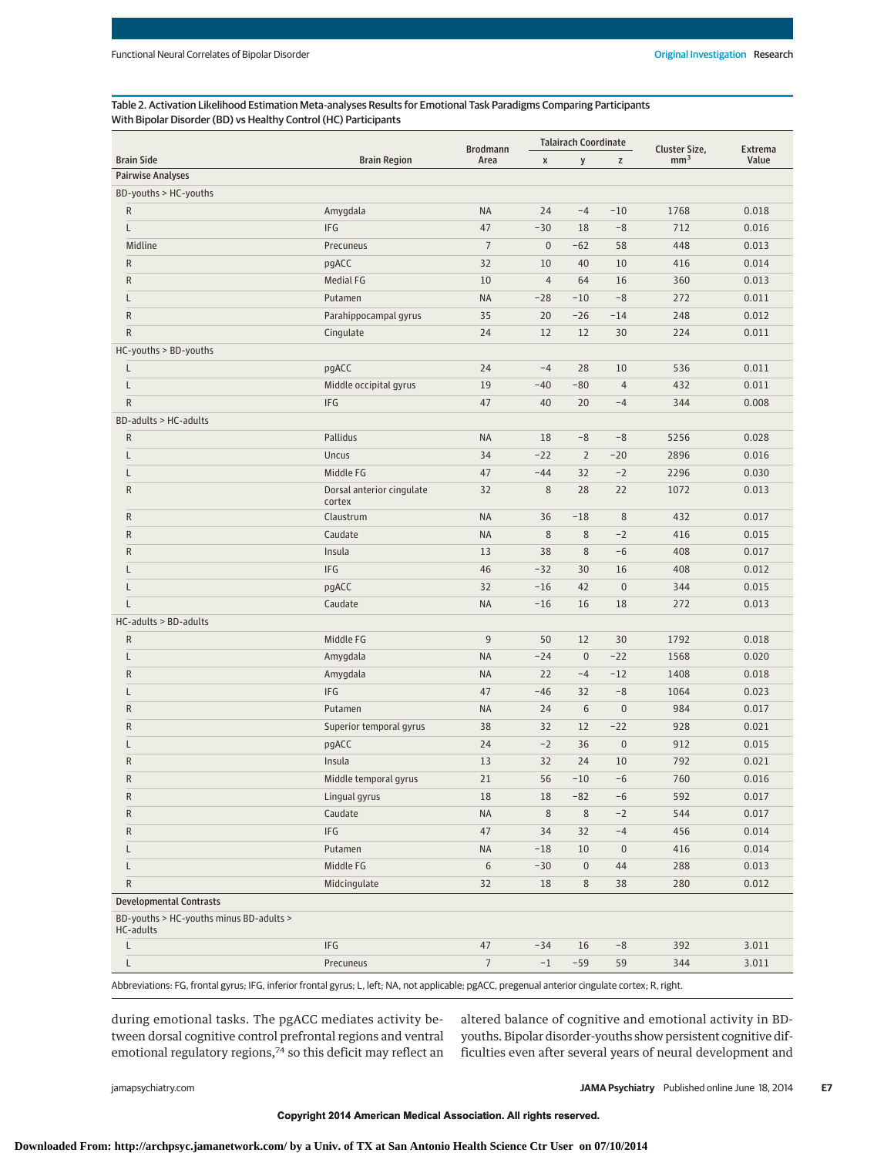Table 2. Activation Likelihood Estimation Meta-analyses Results for Emotional Task Paradigms Comparing Participants With Bipolar Disorder (BD) vs Healthy Control (HC) Participants

|                                                      |                                     | <b>Brodmann</b> | <b>Talairach Coordinate</b> |                | Cluster Size,    | Extrema         |       |
|------------------------------------------------------|-------------------------------------|-----------------|-----------------------------|----------------|------------------|-----------------|-------|
| <b>Brain Side</b>                                    | <b>Brain Region</b>                 | Area            | $\pmb{\mathsf{X}}$          | у              | z                | mm <sup>3</sup> | Value |
| <b>Pairwise Analyses</b>                             |                                     |                 |                             |                |                  |                 |       |
| BD-youths > HC-youths                                |                                     |                 |                             |                |                  |                 |       |
| R                                                    | Amygdala                            | <b>NA</b>       | 24                          | $-4$           | $-10$            | 1768            | 0.018 |
| Г                                                    | <b>IFG</b>                          | 47              | $-30$                       | 18             | $-8$             | 712             | 0.016 |
| Midline                                              | Precuneus                           | $\overline{7}$  | $\bf 0$                     | $-62$          | 58               | 448             | 0.013 |
| R                                                    | pgACC                               | 32              | 10                          | 40             | 10               | 416             | 0.014 |
| R                                                    | <b>Medial FG</b>                    | 10              | $\overline{4}$              | 64             | 16               | 360             | 0.013 |
| L                                                    | Putamen                             | <b>NA</b>       | $-28$                       | $-10$          | $-8$             | 272             | 0.011 |
| R                                                    | Parahippocampal gyrus               | 35              | 20                          | $-26$          | $-14$            | 248             | 0.012 |
| ${\sf R}$                                            | Cingulate                           | 24              | 12                          | 12             | 30               | 224             | 0.011 |
| HC-youths > BD-youths                                |                                     |                 |                             |                |                  |                 |       |
| L                                                    | pgACC                               | 24              | $-4$                        | 28             | 10               | 536             | 0.011 |
| L                                                    | Middle occipital gyrus              | 19              | $-40$                       | $-80$          | $\overline{4}$   | 432             | 0.011 |
| ${\sf R}$                                            | <b>IFG</b>                          | 47              | 40                          | 20             | $-4$             | 344             | 0.008 |
| BD-adults > HC-adults                                |                                     |                 |                             |                |                  |                 |       |
| ${\sf R}$                                            | Pallidus                            | <b>NA</b>       | 18                          | $-8$           | $-8$             | 5256            | 0.028 |
| L                                                    | <b>Uncus</b>                        | 34              | $-22$                       | $\overline{2}$ | $-20$            | 2896            | 0.016 |
| L                                                    | Middle FG                           | 47              | $-44$                       | 32             | $-2$             | 2296            | 0.030 |
| R                                                    | Dorsal anterior cingulate<br>cortex | 32              | $8\phantom{1}$              | 28             | 22               | 1072            | 0.013 |
| R                                                    | Claustrum                           | <b>NA</b>       | 36                          | $-18$          | $\,8\,$          | 432             | 0.017 |
| R                                                    | Caudate                             | <b>NA</b>       | $8\phantom{1}$              | 8              | $-2$             | 416             | 0.015 |
| R                                                    | Insula                              | 13              | 38                          | 8              | $-6$             | 408             | 0.017 |
| L                                                    | <b>IFG</b>                          | 46              | $-32$                       | 30             | 16               | 408             | 0.012 |
| L                                                    | pgACC                               | 32              | $-16$                       | 42             | $\boldsymbol{0}$ | 344             | 0.015 |
| L                                                    | Caudate                             | <b>NA</b>       | $-16$                       | 16             | 18               | 272             | 0.013 |
| HC-adults > BD-adults                                |                                     |                 |                             |                |                  |                 |       |
| ${\sf R}$                                            | Middle FG                           | 9               | 50                          | 12             | 30               | 1792            | 0.018 |
| L                                                    | Amygdala                            | <b>NA</b>       | $-24$                       | $\mathbf{0}$   | $-22$            | 1568            | 0.020 |
| R                                                    | Amygdala                            | <b>NA</b>       | 22                          | $-4$           | $-12$            | 1408            | 0.018 |
| L                                                    | <b>IFG</b>                          | 47              | $-46$                       | 32             | $-8$             | 1064            | 0.023 |
| R                                                    | Putamen                             | <b>NA</b>       | 24                          | 6              | $\boldsymbol{0}$ | 984             | 0.017 |
| R                                                    | Superior temporal gyrus             | 38              | 32                          | 12             | $-22$            | 928             | 0.021 |
| L                                                    | pgACC                               | 24              | $-2$                        | 36             | $\boldsymbol{0}$ | 912             | 0.015 |
| R                                                    | Insula                              | 13              | 32                          | 24             | 10               | 792             | 0.021 |
| R                                                    | Middle temporal gyrus               | 21              | 56                          | $-10$          | $-6$             | 760             | 0.016 |
| R                                                    | Lingual gyrus                       | 18              | 18                          | $-82$          | $-6$             | 592             | 0.017 |
| $\mathsf R$                                          | Caudate                             | <b>NA</b>       | $\,8\,$                     | $\,8\,$        | $-2$             | 544             | 0.017 |
| R                                                    | $\ensuremath{\mathsf{IFG}}$         | 47              | 34                          | 32             | $-4$             | 456             | 0.014 |
| L                                                    | Putamen                             | NA              | $-18$                       | 10             | $\boldsymbol{0}$ | 416             | 0.014 |
| L                                                    | Middle FG                           | $\,$ 6 $\,$     | $-30$                       | $\pmb{0}$      | $44\,$           | 288             | 0.013 |
| R                                                    | Midcingulate                        | 32              | 18                          | 8              | 38               | 280             | 0.012 |
| <b>Developmental Contrasts</b>                       |                                     |                 |                             |                |                  |                 |       |
| BD-youths > HC-youths minus BD-adults ><br>HC-adults |                                     |                 |                             |                |                  |                 |       |
| L                                                    | IFG                                 | 47              | $-34$                       | 16             | $-8$             | 392             | 3.011 |
| L                                                    | Precuneus                           | $7\overline{ }$ | $-1$                        | $-59$          | 59               | 344             | 3.011 |

Abbreviations: FG, frontal gyrus; IFG, inferior frontal gyrus; L, left; NA, not applicable; pgACC, pregenual anterior cingulate cortex; R, right.

during emotional tasks. The pgACC mediates activity between dorsal cognitive control prefrontal regions and ventral emotional regulatory regions,74 so this deficit may reflect an

altered balance of cognitive and emotional activity in BDyouths. Bipolar disorder-youths show persistent cognitive difficulties even after several years of neural development and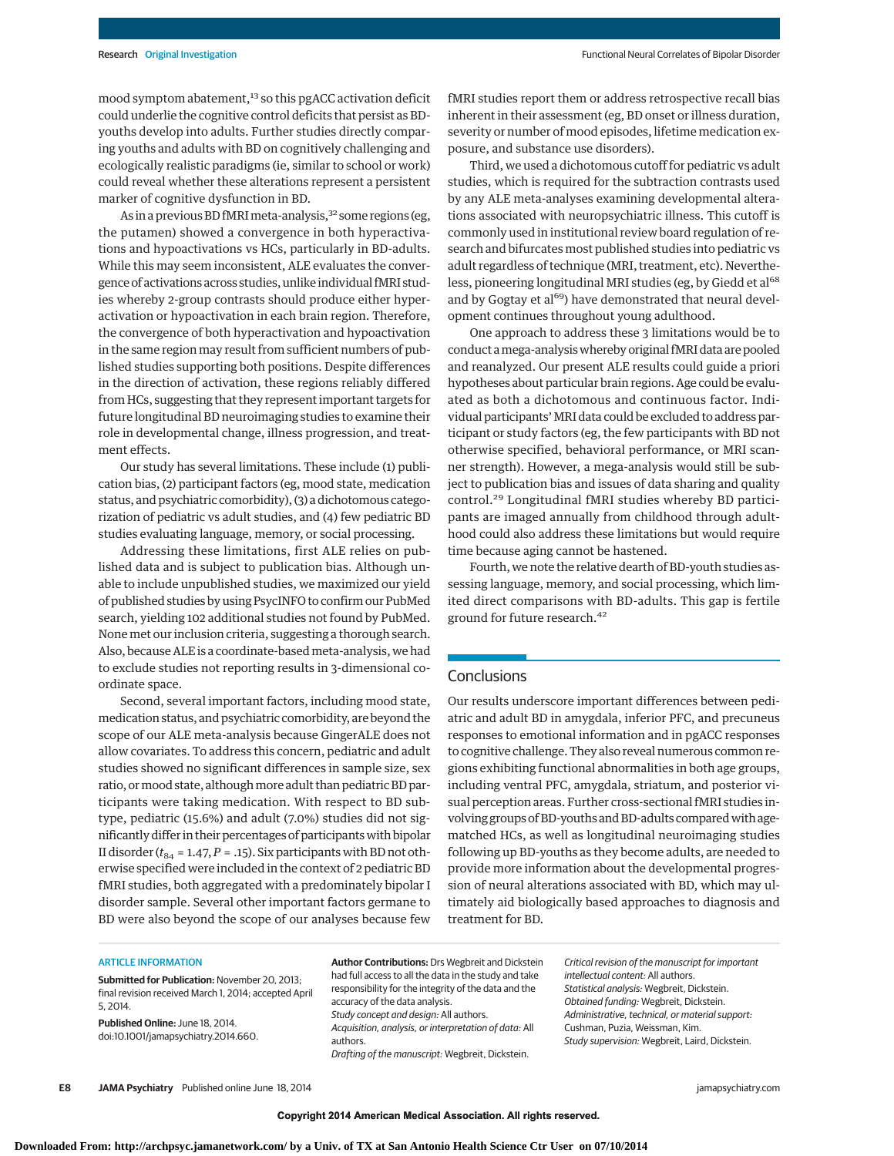mood symptom abatement,<sup>13</sup> so this pgACC activation deficit could underlie the cognitive control deficits that persist as BDyouths develop into adults. Further studies directly comparing youths and adults with BD on cognitively challenging and ecologically realistic paradigms (ie, similar to school or work) could reveal whether these alterations represent a persistent marker of cognitive dysfunction in BD.

As in a previous BD fMRI meta-analysis,  $32$  some regions (eg, the putamen) showed a convergence in both hyperactivations and hypoactivations vs HCs, particularly in BD-adults. While this may seem inconsistent, ALE evaluates the convergence of activations across studies, unlike individual fMRI studies whereby 2-group contrasts should produce either hyperactivation or hypoactivation in each brain region. Therefore, the convergence of both hyperactivation and hypoactivation in the same region may result from sufficient numbers of published studies supporting both positions. Despite differences in the direction of activation, these regions reliably differed from HCs, suggesting that they represent important targets for future longitudinal BD neuroimaging studies to examine their role in developmental change, illness progression, and treatment effects.

Our study has several limitations. These include (1) publication bias, (2) participant factors (eg, mood state, medication status, and psychiatric comorbidity), (3) a dichotomous categorization of pediatric vs adult studies, and (4) few pediatric BD studies evaluating language, memory, or social processing.

Addressing these limitations, first ALE relies on published data and is subject to publication bias. Although unable to include unpublished studies, we maximized our yield of published studies by using PsycINFO to confirm our PubMed search, yielding 102 additional studies not found by PubMed. None met our inclusion criteria, suggesting a thorough search. Also, because ALE is a coordinate-basedmeta-analysis, we had to exclude studies not reporting results in 3-dimensional coordinate space.

Second, several important factors, including mood state, medication status, and psychiatric comorbidity, are beyond the scope of our ALE meta-analysis because GingerALE does not allow covariates. To address this concern, pediatric and adult studies showed no significant differences in sample size, sex ratio, or mood state, although more adult than pediatric BD participants were taking medication. With respect to BD subtype, pediatric (15.6%) and adult (7.0%) studies did not significantly differ in their percentages of participantswith bipolar II disorder ( $t_{84}$  = 1.47, P = .15). Six participants with BD not otherwise specified were included in the context of 2 pediatric BD fMRI studies, both aggregated with a predominately bipolar I disorder sample. Several other important factors germane to BD were also beyond the scope of our analyses because few

fMRI studies report them or address retrospective recall bias inherent in their assessment (eg, BD onset or illness duration, severity or number of mood episodes, lifetime medication exposure, and substance use disorders).

Third, we used a dichotomous cutoff for pediatric vs adult studies, which is required for the subtraction contrasts used by any ALE meta-analyses examining developmental alterations associated with neuropsychiatric illness. This cutoff is commonly used in institutional review board regulation of research and bifurcates most published studies into pediatric vs adult regardless of technique (MRI, treatment, etc). Nevertheless, pioneering longitudinal MRI studies (eg, by Giedd et al<sup>68</sup> and by Gogtay et al<sup>69</sup>) have demonstrated that neural development continues throughout young adulthood.

One approach to address these 3 limitations would be to conduct amega-analysiswhereby original fMRI data are pooled and reanalyzed. Our present ALE results could guide a priori hypotheses about particular brain regions. Age could be evaluated as both a dichotomous and continuous factor. Individual participants'MRI data could be excluded to address participant or study factors (eg, the few participants with BD not otherwise specified, behavioral performance, or MRI scanner strength). However, a mega-analysis would still be subject to publication bias and issues of data sharing and quality control.<sup>29</sup> Longitudinal fMRI studies whereby BD participants are imaged annually from childhood through adulthood could also address these limitations but would require time because aging cannot be hastened.

Fourth, we note the relative dearth of BD-youth studies assessing language, memory, and social processing, which limited direct comparisons with BD-adults. This gap is fertile ground for future research.42

# Conclusions

Our results underscore important differences between pediatric and adult BD in amygdala, inferior PFC, and precuneus responses to emotional information and in pgACC responses to cognitive challenge. They also reveal numerous common regions exhibiting functional abnormalities in both age groups, including ventral PFC, amygdala, striatum, and posterior visual perception areas. Further cross-sectional fMRI studies involving groups of BD-youths and BD-adults comparedwith agematched HCs, as well as longitudinal neuroimaging studies following up BD-youths as they become adults, are needed to provide more information about the developmental progression of neural alterations associated with BD, which may ultimately aid biologically based approaches to diagnosis and treatment for BD.

#### ARTICLE INFORMATION

**Submitted for Publication:** November 20, 2013; final revision received March 1, 2014; accepted April 5, 2014.

**Published Online:** June 18, 2014. doi:10.1001/jamapsychiatry.2014.660. had full access to all the data in the study and take responsibility for the integrity of the data and the accuracy of the data analysis. Study concept and design: All authors. Acquisition, analysis, or interpretation of data: All authors. Drafting of the manuscript: Wegbreit, Dickstein.

**Author Contributions:** Drs Wegbreit and Dickstein

Critical revision of the manuscript for important intellectual content: All authors. Statistical analysis: Wegbreit, Dickstein. Obtained funding: Wegbreit, Dickstein. Administrative, technical, or material support: Cushman, Puzia, Weissman, Kim. Study supervision: Wegbreit, Laird, Dickstein.

**E8 JAMA Psychiatry** Published online June 18, 2014 jamapsychiatry.com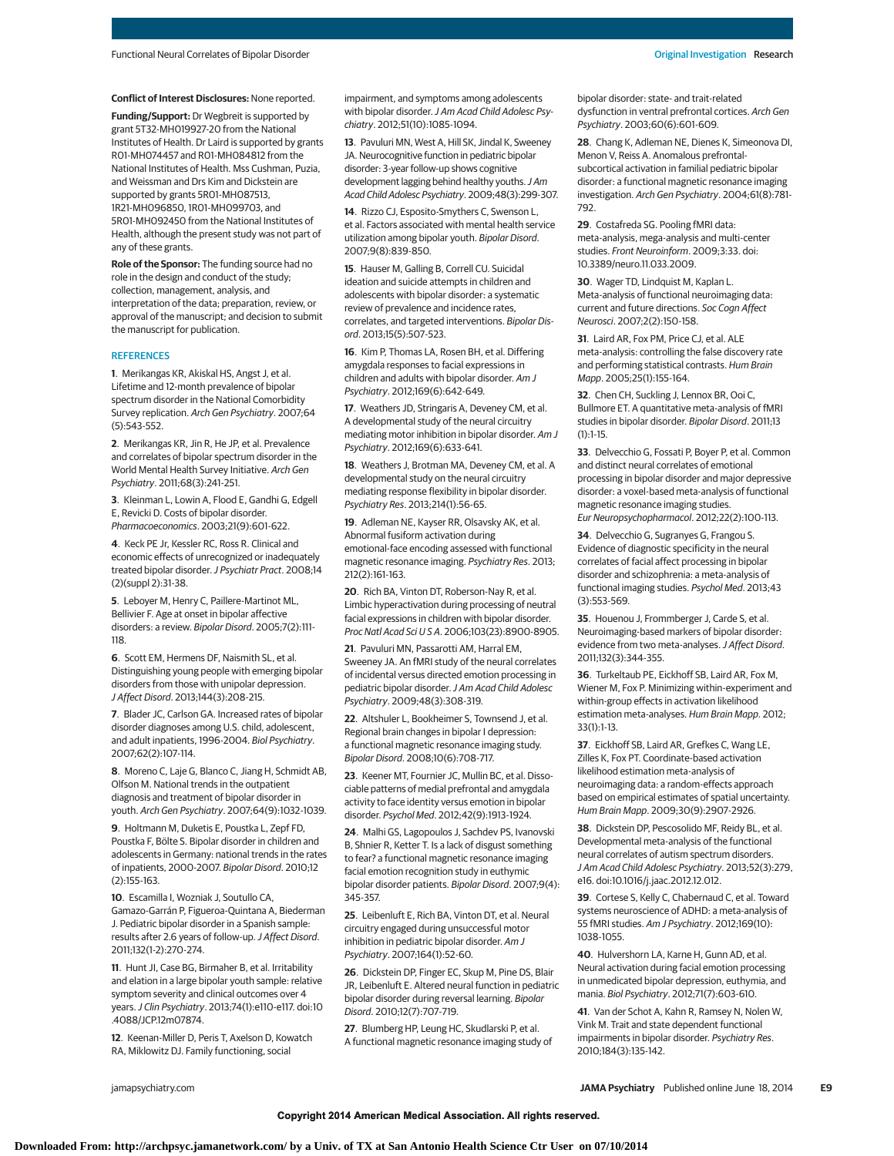**Funding/Support:** Dr Wegbreit is supported by grant 5T32-MH019927-20 from the National Institutes of Health. Dr Laird is supported by grants R01-MH074457 and R01-MH084812 from the National Institutes of Health. Mss Cushman, Puzia, and Weissman and Drs Kim and Dickstein are supported by grants 5R01-MH087513, 1R21-MH096850, 1R01-MH099703, and 5R01-MH092450 from the National Institutes of Health, although the present study was not part of any of these grants.

**Role of the Sponsor:** The funding source had no role in the design and conduct of the study; collection, management, analysis, and interpretation of the data; preparation, review, or approval of the manuscript; and decision to submit the manuscript for publication.

#### **REFERENCES**

**1**. Merikangas KR, Akiskal HS, Angst J, et al. Lifetime and 12-month prevalence of bipolar spectrum disorder in the National Comorbidity Survey replication. Arch Gen Psychiatry. 2007;64 (5):543-552.

**2**. Merikangas KR, Jin R, He JP, et al. Prevalence and correlates of bipolar spectrum disorder in the World Mental Health Survey Initiative. Arch Gen Psychiatry. 2011;68(3):241-251.

**3**. Kleinman L, Lowin A, Flood E, Gandhi G, Edgell E, Revicki D. Costs of bipolar disorder. Pharmacoeconomics. 2003;21(9):601-622.

**4**. Keck PE Jr, Kessler RC, Ross R. Clinical and economic effects of unrecognized or inadequately treated bipolar disorder. J Psychiatr Pract. 2008;14 (2)(suppl 2):31-38.

**5**. Leboyer M, Henry C, Paillere-Martinot ML, Bellivier F. Age at onset in bipolar affective disorders: a review. Bipolar Disord. 2005;7(2):111- 118.

**6**. Scott EM, Hermens DF, Naismith SL, et al. Distinguishing young people with emerging bipolar disorders from those with unipolar depression. J Affect Disord. 2013;144(3):208-215.

**7**. Blader JC, Carlson GA. Increased rates of bipolar disorder diagnoses among U.S. child, adolescent, and adult inpatients, 1996-2004. Biol Psychiatry. 2007;62(2):107-114.

**8**. Moreno C, Laje G, Blanco C, Jiang H, Schmidt AB, Olfson M. National trends in the outpatient diagnosis and treatment of bipolar disorder in youth. Arch Gen Psychiatry. 2007;64(9):1032-1039.

**9**. Holtmann M, Duketis E, Poustka L, Zepf FD, Poustka F, Bölte S. Bipolar disorder in children and adolescents in Germany: national trends in the rates of inpatients, 2000-2007. Bipolar Disord. 2010;12 (2):155-163.

**10**. Escamilla I, Wozniak J, Soutullo CA, Gamazo-Garrán P, Figueroa-Quintana A, Biederman J. Pediatric bipolar disorder in a Spanish sample: results after 2.6 years of follow-up.J Affect Disord. 2011;132(1-2):270-274.

**11**. Hunt JI, Case BG, Birmaher B, et al. Irritability and elation in a large bipolar youth sample: relative symptom severity and clinical outcomes over 4 years.J Clin Psychiatry. 2013;74(1):e110-e117. doi:10 .4088/JCP.12m07874.

**12**. Keenan-Miller D, Peris T, Axelson D, Kowatch RA, Miklowitz DJ. Family functioning, social

impairment, and symptoms among adolescents with bipolar disorder. J Am Acad Child Adolesc Psychiatry. 2012;51(10):1085-1094.

**13**. Pavuluri MN, West A, Hill SK, Jindal K, Sweeney JA. Neurocognitive function in pediatric bipolar disorder: 3-year follow-up shows cognitive development lagging behind healthy youths. J Am Acad Child Adolesc Psychiatry. 2009;48(3):299-307.

**14**. Rizzo CJ, Esposito-Smythers C, Swenson L, et al. Factors associated with mental health service utilization among bipolar youth. Bipolar Disord. 2007;9(8):839-850.

**15**. Hauser M, Galling B, Correll CU. Suicidal ideation and suicide attempts in children and adolescents with bipolar disorder: a systematic review of prevalence and incidence rates, correlates, and targeted interventions. Bipolar Disord. 2013;15(5):507-523.

**16**. Kim P, Thomas LA, Rosen BH, et al. Differing amygdala responses to facial expressions in children and adults with bipolar disorder. Am J Psychiatry. 2012;169(6):642-649.

**17**. Weathers JD, Stringaris A, Deveney CM, et al. A developmental study of the neural circuitry mediating motor inhibition in bipolar disorder. Am J Psychiatry. 2012;169(6):633-641.

**18**. Weathers J, Brotman MA, Deveney CM, et al. A developmental study on the neural circuitry mediating response flexibility in bipolar disorder. Psychiatry Res. 2013;214(1):56-65.

**19**. Adleman NE, Kayser RR, Olsavsky AK, et al. Abnormal fusiform activation during emotional-face encoding assessed with functional magnetic resonance imaging. Psychiatry Res. 2013; 212(2):161-163.

**20**. Rich BA, Vinton DT, Roberson-Nay R, et al. Limbic hyperactivation during processing of neutral facial expressions in children with bipolar disorder. Proc Natl Acad Sci U S A. 2006;103(23):8900-8905.

**21**. Pavuluri MN, Passarotti AM, Harral EM, Sweeney JA. An fMRI study of the neural correlates of incidental versus directed emotion processing in pediatric bipolar disorder. J Am Acad Child Adolesc Psychiatry. 2009;48(3):308-319.

**22**. Altshuler L, Bookheimer S, Townsend J, et al. Regional brain changes in bipolar I depression: a functional magnetic resonance imaging study. Bipolar Disord. 2008;10(6):708-717.

**23**. Keener MT, Fournier JC, Mullin BC, et al. Dissociable patterns of medial prefrontal and amygdala activity to face identity versus emotion in bipolar disorder. Psychol Med. 2012;42(9):1913-1924.

**24**. Malhi GS, Lagopoulos J, Sachdev PS, Ivanovski B, Shnier R, Ketter T. Is a lack of disgust something to fear? a functional magnetic resonance imaging facial emotion recognition study in euthymic bipolar disorder patients. Bipolar Disord. 2007;9(4): 345-357.

**25**. Leibenluft E, Rich BA, Vinton DT, et al. Neural circuitry engaged during unsuccessful motor inhibition in pediatric bipolar disorder. Am J Psychiatry. 2007;164(1):52-60.

**26**. Dickstein DP, Finger EC, Skup M, Pine DS, Blair JR, Leibenluft E. Altered neural function in pediatric bipolar disorder during reversal learning. Bipolar Disord. 2010;12(7):707-719.

**27**. Blumberg HP, Leung HC, Skudlarski P, et al. A functional magnetic resonance imaging study of bipolar disorder: state- and trait-related dysfunction in ventral prefrontal cortices. Arch Gen Psychiatry. 2003;60(6):601-609.

**28**. Chang K, Adleman NE, Dienes K, Simeonova DI, Menon V, Reiss A. Anomalous prefrontalsubcortical activation in familial pediatric bipolar disorder: a functional magnetic resonance imaging investigation. Arch Gen Psychiatry. 2004;61(8):781- 792.

**29**. Costafreda SG. Pooling fMRI data: meta-analysis, mega-analysis and multi-center studies. Front Neuroinform. 2009;3:33. doi: 10.3389/neuro.11.033.2009.

**30**. Wager TD, Lindquist M, Kaplan L. Meta-analysis of functional neuroimaging data: current and future directions. Soc Cogn Affect Neurosci. 2007;2(2):150-158.

**31**. Laird AR, Fox PM, Price CJ, et al. ALE meta-analysis: controlling the false discovery rate and performing statistical contrasts. Hum Brain Mapp. 2005;25(1):155-164.

**32**. Chen CH, Suckling J, Lennox BR, Ooi C, Bullmore ET. A quantitative meta-analysis of fMRI studies in bipolar disorder. Bipolar Disord. 2011;13 (1):1-15.

**33**. Delvecchio G, Fossati P, Boyer P, et al. Common and distinct neural correlates of emotional processing in bipolar disorder and major depressive disorder: a voxel-based meta-analysis of functional magnetic resonance imaging studies. Eur Neuropsychopharmacol. 2012;22(2):100-113.

**34**. Delvecchio G, Sugranyes G, Frangou S. Evidence of diagnostic specificity in the neural correlates of facial affect processing in bipolar disorder and schizophrenia: a meta-analysis of functional imaging studies. Psychol Med. 2013;43 (3):553-569.

**35**. Houenou J, Frommberger J, Carde S, et al. Neuroimaging-based markers of bipolar disorder: evidence from two meta-analyses. J Affect Disord. 2011;132(3):344-355.

**36**. Turkeltaub PE, Eickhoff SB, Laird AR, Fox M, Wiener M, Fox P. Minimizing within-experiment and within-group effects in activation likelihood estimation meta-analyses. Hum Brain Mapp. 2012; 33(1):1-13.

**37**. Eickhoff SB, Laird AR, Grefkes C, Wang LE, Zilles K, Fox PT. Coordinate-based activation likelihood estimation meta-analysis of neuroimaging data: a random-effects approach based on empirical estimates of spatial uncertainty. Hum Brain Mapp. 2009;30(9):2907-2926.

**38**. Dickstein DP, Pescosolido MF, Reidy BL, et al. Developmental meta-analysis of the functional neural correlates of autism spectrum disorders. J Am Acad Child Adolesc Psychiatry. 2013;52(3):279, e16. doi:10.1016/j.jaac.2012.12.012.

**39**. Cortese S, Kelly C, Chabernaud C, et al. Toward systems neuroscience of ADHD: a meta-analysis of 55 fMRI studies. Am J Psychiatry. 2012;169(10): 1038-1055.

**40**. Hulvershorn LA, Karne H, Gunn AD, et al. Neural activation during facial emotion processing in unmedicated bipolar depression, euthymia, and mania. Biol Psychiatry. 2012;71(7):603-610.

**41**. Van der Schot A, Kahn R, Ramsey N, Nolen W, Vink M. Trait and state dependent functional impairments in bipolar disorder. Psychiatry Res. 2010;184(3):135-142.